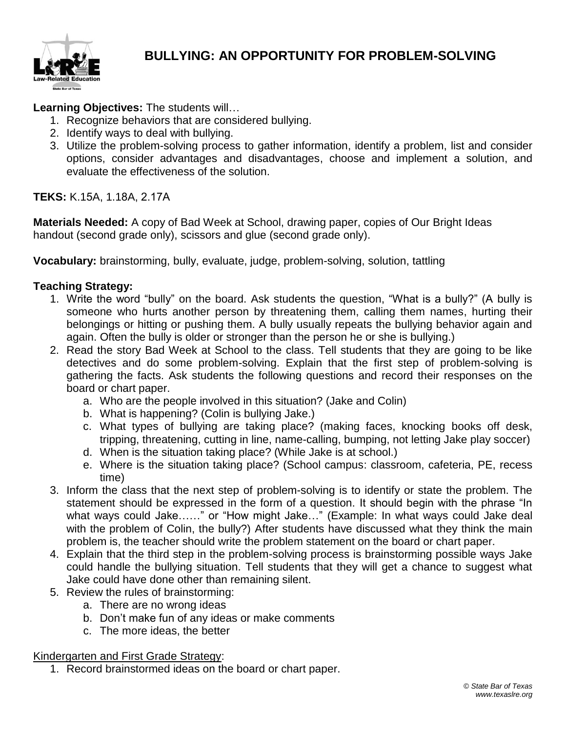

**Learning Objectives:** The students will…

- 1. Recognize behaviors that are considered bullying.
- 2. Identify ways to deal with bullying.
- 3. Utilize the problem-solving process to gather information, identify a problem, list and consider options, consider advantages and disadvantages, choose and implement a solution, and evaluate the effectiveness of the solution.

**TEKS:** K.15A, 1.18A, 2.17A

**Materials Needed:** A copy of Bad Week at School, drawing paper, copies of Our Bright Ideas handout (second grade only), scissors and glue (second grade only).

**Vocabulary:** brainstorming, bully, evaluate, judge, problem-solving, solution, tattling

### **Teaching Strategy:**

- 1. Write the word "bully" on the board. Ask students the question, "What is a bully?" (A bully is someone who hurts another person by threatening them, calling them names, hurting their belongings or hitting or pushing them. A bully usually repeats the bullying behavior again and again. Often the bully is older or stronger than the person he or she is bullying.)
- 2. Read the story Bad Week at School to the class. Tell students that they are going to be like detectives and do some problem-solving. Explain that the first step of problem-solving is gathering the facts. Ask students the following questions and record their responses on the board or chart paper.
	- a. Who are the people involved in this situation? (Jake and Colin)
	- b. What is happening? (Colin is bullying Jake.)
	- c. What types of bullying are taking place? (making faces, knocking books off desk, tripping, threatening, cutting in line, name-calling, bumping, not letting Jake play soccer)
	- d. When is the situation taking place? (While Jake is at school.)
	- e. Where is the situation taking place? (School campus: classroom, cafeteria, PE, recess time)
- 3. Inform the class that the next step of problem-solving is to identify or state the problem. The statement should be expressed in the form of a question. It should begin with the phrase "In what ways could Jake….." or "How might Jake..." (Example: In what ways could Jake deal with the problem of Colin, the bully?) After students have discussed what they think the main problem is, the teacher should write the problem statement on the board or chart paper.
- 4. Explain that the third step in the problem-solving process is brainstorming possible ways Jake could handle the bullying situation. Tell students that they will get a chance to suggest what Jake could have done other than remaining silent.
- 5. Review the rules of brainstorming:
	- a. There are no wrong ideas
	- b. Don't make fun of any ideas or make comments
	- c. The more ideas, the better

Kindergarten and First Grade Strategy:

1. Record brainstormed ideas on the board or chart paper.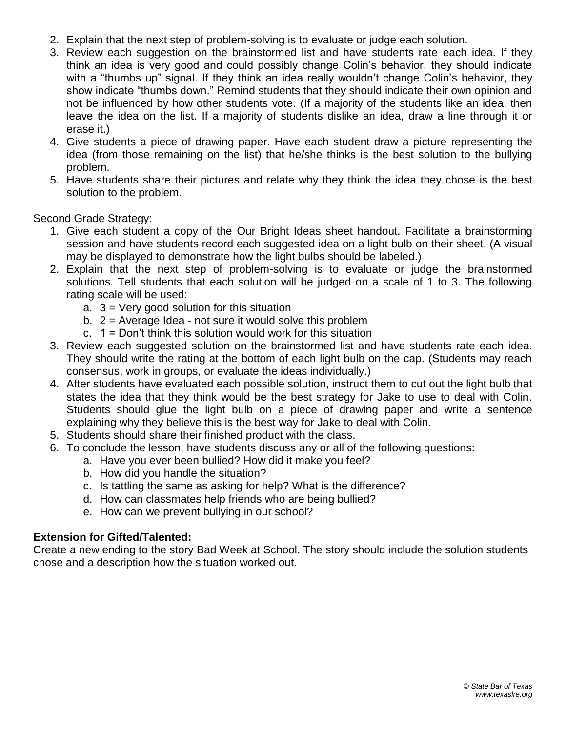- 2. Explain that the next step of problem-solving is to evaluate or judge each solution.
- 3. Review each suggestion on the brainstormed list and have students rate each idea. If they think an idea is very good and could possibly change Colin's behavior, they should indicate with a "thumbs up" signal. If they think an idea really wouldn't change Colin's behavior, they show indicate "thumbs down." Remind students that they should indicate their own opinion and not be influenced by how other students vote. (If a majority of the students like an idea, then leave the idea on the list. If a majority of students dislike an idea, draw a line through it or erase it.)
- 4. Give students a piece of drawing paper. Have each student draw a picture representing the idea (from those remaining on the list) that he/she thinks is the best solution to the bullying problem.
- 5. Have students share their pictures and relate why they think the idea they chose is the best solution to the problem.

#### Second Grade Strategy:

- 1. Give each student a copy of the Our Bright Ideas sheet handout. Facilitate a brainstorming session and have students record each suggested idea on a light bulb on their sheet. (A visual may be displayed to demonstrate how the light bulbs should be labeled.)
- 2. Explain that the next step of problem-solving is to evaluate or judge the brainstormed solutions. Tell students that each solution will be judged on a scale of 1 to 3. The following rating scale will be used:
	- a.  $3 =$  Very good solution for this situation
	- b.  $2 =$  Average Idea not sure it would solve this problem
	- c. 1 = Don't think this solution would work for this situation
- 3. Review each suggested solution on the brainstormed list and have students rate each idea. They should write the rating at the bottom of each light bulb on the cap. (Students may reach consensus, work in groups, or evaluate the ideas individually.)
- 4. After students have evaluated each possible solution, instruct them to cut out the light bulb that states the idea that they think would be the best strategy for Jake to use to deal with Colin. Students should glue the light bulb on a piece of drawing paper and write a sentence explaining why they believe this is the best way for Jake to deal with Colin.
- 5. Students should share their finished product with the class.
- 6. To conclude the lesson, have students discuss any or all of the following questions:
	- a. Have you ever been bullied? How did it make you feel?
	- b. How did you handle the situation?
	- c. Is tattling the same as asking for help? What is the difference?
	- d. How can classmates help friends who are being bullied?
	- e. How can we prevent bullying in our school?

#### **Extension for Gifted/Talented:**

Create a new ending to the story Bad Week at School. The story should include the solution students chose and a description how the situation worked out.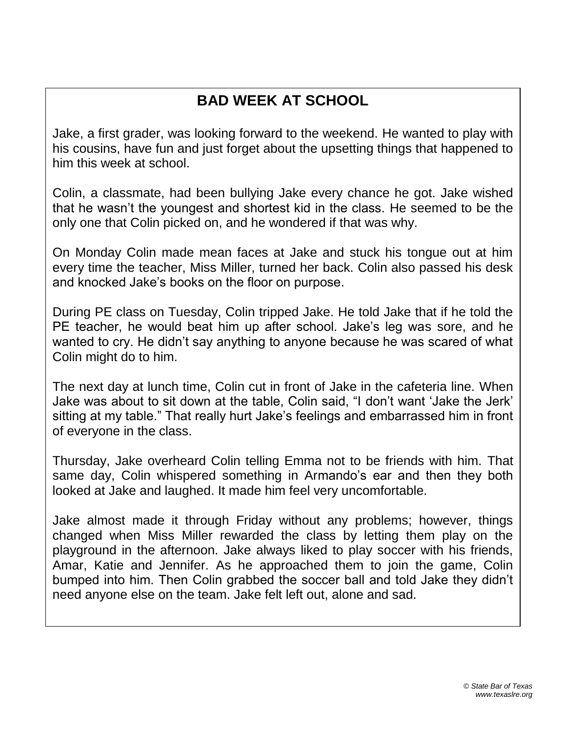## **BAD WEEK AT SCHOOL**

Jake, a first grader, was looking forward to the weekend. He wanted to play with his cousins, have fun and just forget about the upsetting things that happened to him this week at school.

Colin, a classmate, had been bullying Jake every chance he got. Jake wished that he wasn't the youngest and shortest kid in the class. He seemed to be the only one that Colin picked on, and he wondered if that was why.

On Monday Colin made mean faces at Jake and stuck his tongue out at him every time the teacher, Miss Miller, turned her back. Colin also passed his desk and knocked Jake's books on the floor on purpose.

During PE class on Tuesday, Colin tripped Jake. He told Jake that if he told the PE teacher, he would beat him up after school. Jake's leg was sore, and he wanted to cry. He didn't say anything to anyone because he was scared of what Colin might do to him.

The next day at lunch time, Colin cut in front of Jake in the cafeteria line. When Jake was about to sit down at the table, Colin said, "I don't want 'Jake the Jerk' sitting at my table." That really hurt Jake's feelings and embarrassed him in front of everyone in the class.

Thursday, Jake overheard Colin telling Emma not to be friends with him. That same day, Colin whispered something in Armando's ear and then they both looked at Jake and laughed. It made him feel very uncomfortable.

Jake almost made it through Friday without any problems; however, things changed when Miss Miller rewarded the class by letting them play on the playground in the afternoon. Jake always liked to play soccer with his friends, Amar, Katie and Jennifer. As he approached them to join the game, Colin bumped into him. Then Colin grabbed the soccer ball and told Jake they didn't need anyone else on the team. Jake felt left out, alone and sad.